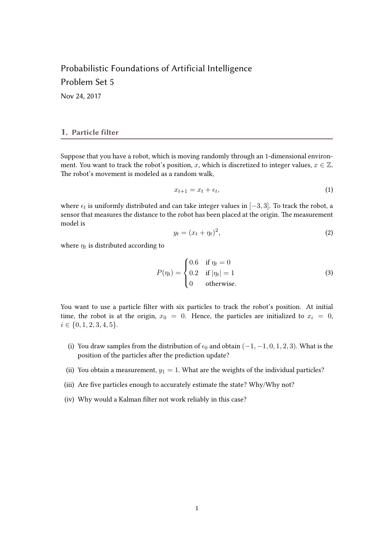## Probabilistic Foundations of Artificial Intelligence Problem Set 5

Nov 24, 2017

## 1. Particle filter

Suppose that you have a robot, which is moving randomly through an 1-dimensional environment. You want to track the robot's position, x, which is discretized to integer values,  $x \in \mathbb{Z}$ . The robot's movement is modeled as a random walk,

$$
x_{t+1} = x_t + \epsilon_t,\tag{1}
$$

where  $\epsilon_t$  is uniformly distributed and can take integer values in  $[-3,3].$  To track the robot, a sensor that measures the distance to the robot has been placed at the origin. The measurement model is

$$
y_t = (x_t + \eta_t)^2,\tag{2}
$$

where  $\eta_t$  is distributed according to

$$
P(\eta_t) = \begin{cases} 0.6 & \text{if } \eta_t = 0 \\ 0.2 & \text{if } |\eta_t| = 1 \\ 0 & \text{otherwise.} \end{cases}
$$
 (3)

You want to use a particle filter with six particles to track the robot's position. At initial time, the robot is at the origin,  $x_0 = 0$ . Hence, the particles are initialized to  $x_i = 0$ ,  $i \in \{0, 1, 2, 3, 4, 5\}.$ 

- (i) You draw samples from the distribution of  $\epsilon_0$  and obtain  $(-1, -1, 0, 1, 2, 3)$ . What is the position of the particles after the prediction update?
- (ii) You obtain a measurement,  $y_1 = 1$ . What are the weights of the individual particles?
- (iii) Are five particles enough to accurately estimate the state? Why/Why not?
- (iv) Why would a Kalman filter not work reliably in this case?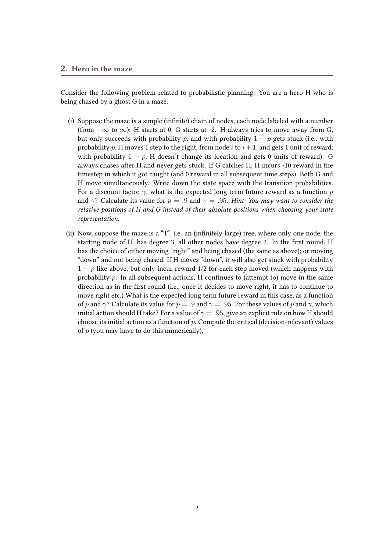Consider the following problem related to probabilistic planning. You are a hero H who is being chased by a ghost G in a maze.

- $(i)$  Suppose the maze is a simple (infinite) chain of nodes, each node labeled with a number (from  $-\infty$  to  $\infty$ ): H starts at 0, G starts at -2. H always tries to move away from G, but only succeeds with probability p, and with probability  $1 - p$  gets stuck (i.e., with probability p, H moves 1 step to the right, from node i to  $i+1$ , and gets 1 unit of reward; with probability  $1 - p$ , H doesn't change its location and gets 0 units of reward). G always chases after H and never gets stuck. If G catches H, H incurs -10 reward in the timestep in which it got caught (and 0 reward in all subsequent time steps). Both G and H move simultaneously. Write down the state space with the transition probabilities. For a discount factor  $\gamma$ , what is the expected long term future reward as a function p and  $\gamma$ ? Calculate its value for  $p = .9$  and  $\gamma = .95$ . Hint: You may want to consider the relative positions of H and G instead of their absolute positions when choosing your state representation.
- (ii) Now, suppose the maze is a "T", i.e. an (infinitely large) tree, where only one node, the starting node of H, has degree 3, all other nodes have degree 2. In the first round, H has the choice of either moving "right" and being chased (the same as above); or moving "down" and not being chased. If H moves "down", it will also get stuck with probability  $1 - p$  like above, but only incur reward 1/2 for each step moved (which happens with probability  $p$ . In all subsequent actions, H continues to (attempt to) move in the same direction as in the first round (i.e., once it decides to move right, it has to continue to move right etc.) What is the expected long term future reward in this case, as a function of p and  $\gamma$ ? Calculate its value for  $p = .9$  and  $\gamma = .95$ . For these values of p and  $\gamma$ , which initial action should H take? For a value of  $\gamma = .95$ , give an explicit rule on how H should choose its initial action as a function of  $p$ . Compute the critical (decision-relevant) values of  $p$  (you may have to do this numerically).